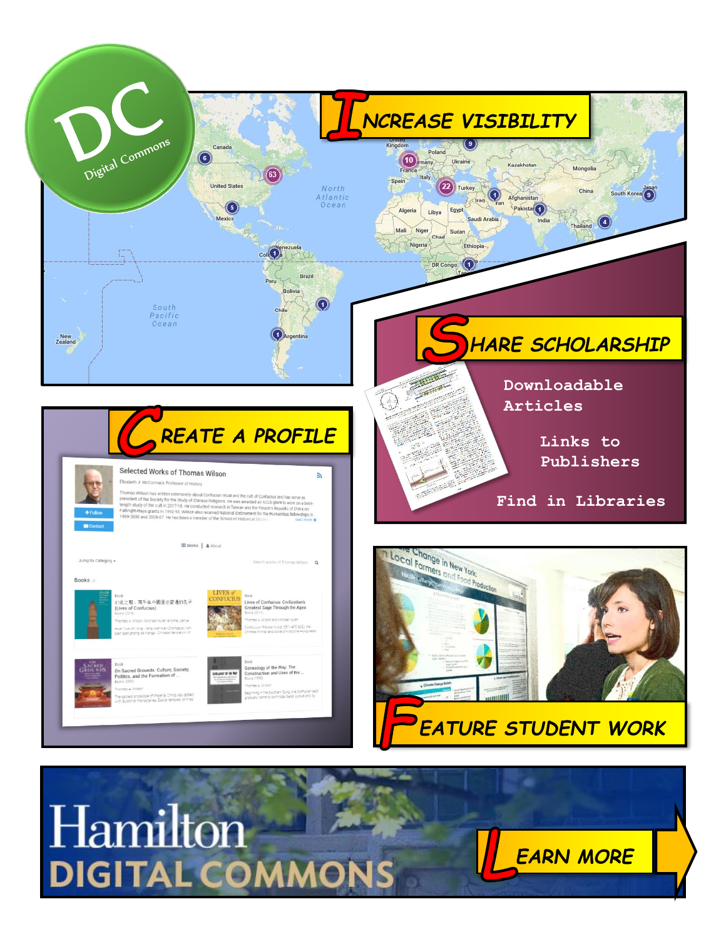